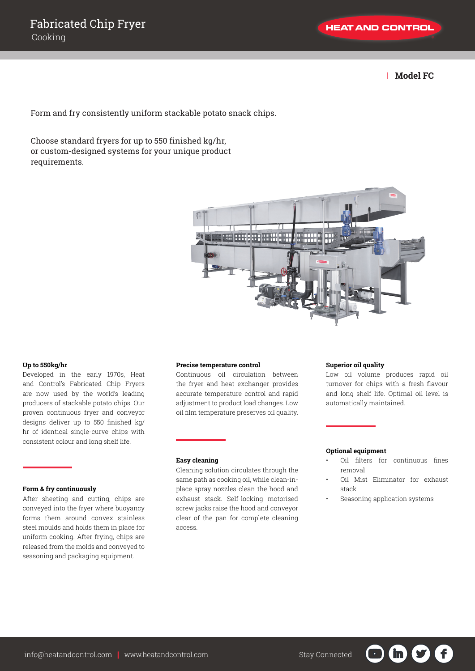| **Model FC**

Form and fry consistently uniform stackable potato snack chips.

Choose standard fryers for up to 550 finished kg/hr, or custom-designed systems for your unique product requirements.



## **Up to 550kg/hr**

Developed in the early 1970s, Heat and Control's Fabricated Chip Fryers are now used by the world's leading producers of stackable potato chips. Our proven continuous fryer and conveyor designs deliver up to 550 finished kg/ hr of identical single-curve chips with consistent colour and long shelf life.

# **Form & fry continuously**

After sheeting and cutting, chips are conveyed into the fryer where buoyancy forms them around convex stainless steel moulds and holds them in place for uniform cooking. After frying, chips are released from the molds and conveyed to seasoning and packaging equipment.

#### **Precise temperature control**

Continuous oil circulation between the fryer and heat exchanger provides accurate temperature control and rapid adjustment to product load changes. Low oil film temperature preserves oil quality.

#### **Easy cleaning**

Cleaning solution circulates through the same path as cooking oil, while clean-inplace spray nozzles clean the hood and exhaust stack. Self-locking motorised screw jacks raise the hood and conveyor clear of the pan for complete cleaning access.

## **Superior oil quality**

Low oil volume produces rapid oil turnover for chips with a fresh flavour and long shelf life. Optimal oil level is automatically maintained.

#### **Optional equipment**

- Oil filters for continuous fines removal
- Oil Mist Eliminator for exhaust stack

in

• Seasoning application systems